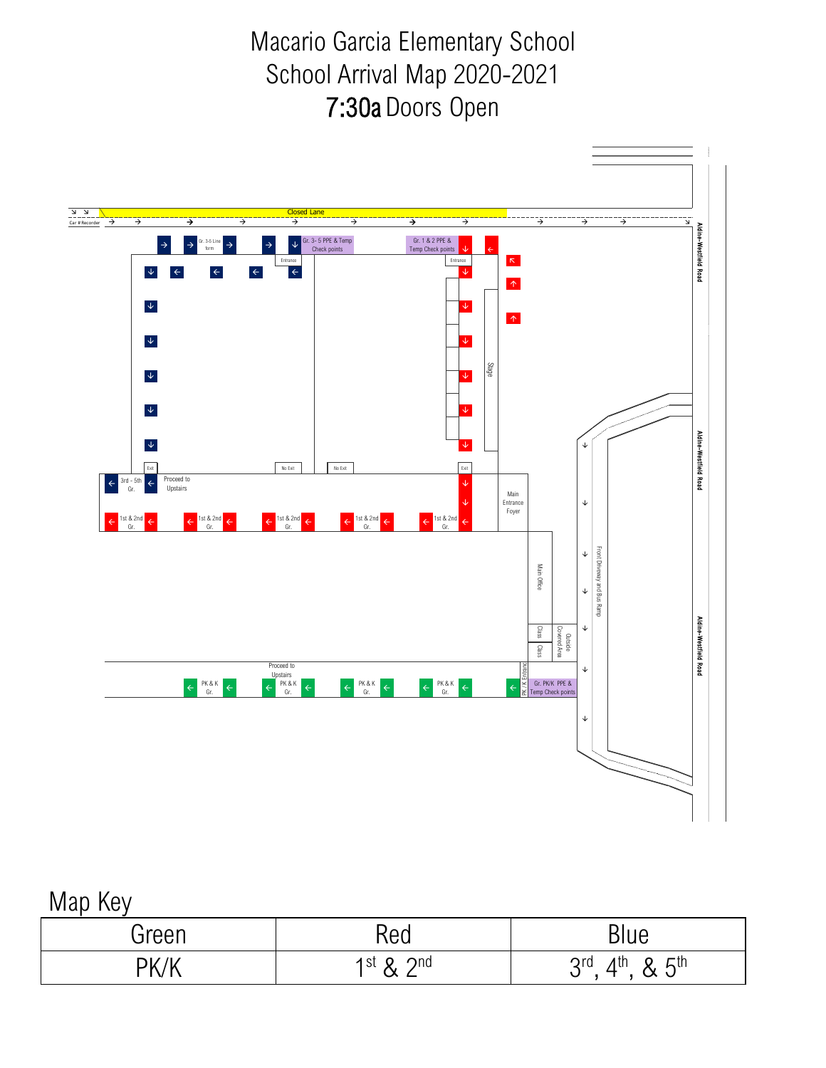Macario Garcia Elementary School School Arrival Map 2020-2021 7:30a Doors Open



## Map Key

| Green | Red               | Blue                                  |
|-------|-------------------|---------------------------------------|
| PK/V  | 1st $\lambda$ 2nd | $2.5$ th<br>⊿th<br>Qrd<br>◡<br>◡<br>◡ |